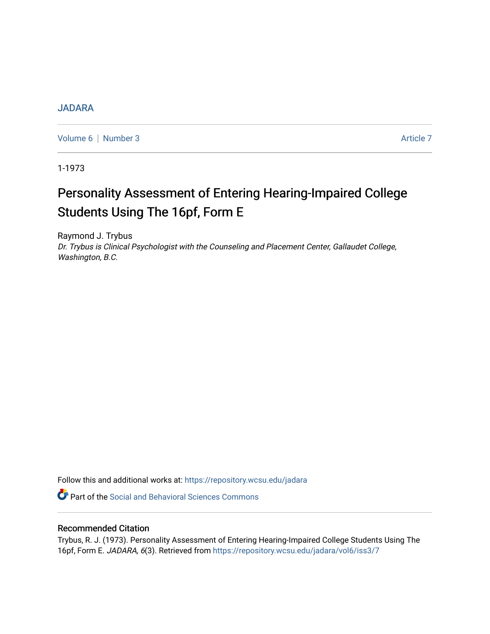### [JADARA](https://repository.wcsu.edu/jadara)

[Volume 6](https://repository.wcsu.edu/jadara/vol6) | [Number 3](https://repository.wcsu.edu/jadara/vol6/iss3) Article 7

1-1973

# Personality Assessment of Entering Hearing-Impaired College Students Using The 16pf, Form E

Raymond J. Trybus Dr. Trybus is Clinical Psychologist with the Counseling and Placement Center, Gallaudet College, Washington, B.C.

Follow this and additional works at: [https://repository.wcsu.edu/jadara](https://repository.wcsu.edu/jadara?utm_source=repository.wcsu.edu%2Fjadara%2Fvol6%2Fiss3%2F7&utm_medium=PDF&utm_campaign=PDFCoverPages)

**Part of the Social and Behavioral Sciences Commons** 

### Recommended Citation

Trybus, R. J. (1973). Personality Assessment of Entering Hearing-Impaired College Students Using The 16pf, Form E. JADARA, 6(3). Retrieved from [https://repository.wcsu.edu/jadara/vol6/iss3/7](https://repository.wcsu.edu/jadara/vol6/iss3/7?utm_source=repository.wcsu.edu%2Fjadara%2Fvol6%2Fiss3%2F7&utm_medium=PDF&utm_campaign=PDFCoverPages)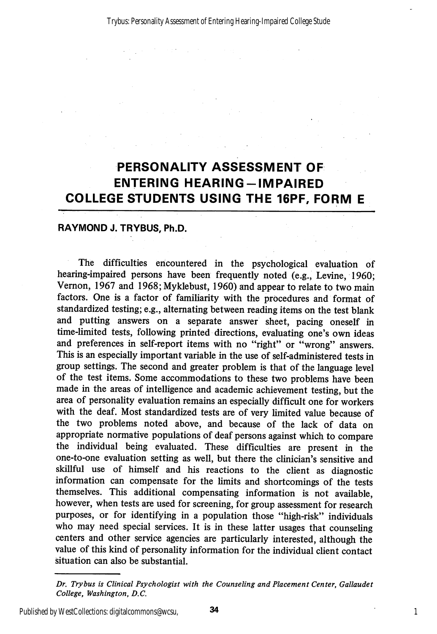## PERSONALITY ASSESSMENT OF ENTERING HEARING-IMPAIRED COLLEGE STUDENTS USING THE 16PF, FORM E

#### RAYMOND J. TRYBUS, Ph.D.

The difficulties encountered in the psychological evaluation of hearing-impaired persons have been frequently noted (e.g., Levine, 1960; Vemon, 1967 and 1968; Myklebust, 1960) and appear to relate to two main factors. One is a factor of familiarity with the procedures and format of standardized testing; e.g., alternating between reading items on the test blank and putting answers on a separate answer sheet, pacing oneself in time-limited tests, following printed directions, evaluating one's own ideas and preferences in self-report items with no "right" or "wrong" answers. This is an especially important variable in the use of self-administered tests in group settings. The second and greater problem is that of the language level of the test items. Some accommodations to these two problems have been made in the areas of intelligence and academic achievement testing, but the area of personality evaluation remains an especially difficult one for workers with the deaf. Most standardized tests are of very limited value because of the two problems noted above, and because of the lack of data on appropriate normative populations of deaf persons against which to compare the individual being evaluated. These difficulties are present in the one-to-one evaluation setting as well, but there the clinician's sensitive and skillful use of himself and his reactions to the client as diagnostic information can compensate for the limits and shortcomings of the tests themselves. This additional compensating information is not available, however, when tests are used for screening, for group assessment for research purposes, or for identifying in a population those "high-risk" individuals who may need special services. It is in these latter usages that counseling centers and other service agencies are particularly interested, although the value of this kind of personality information for the individual client contact situation can also be substantial.

Dr. Trybus is Clinical Psychologist with the Counseling and Placement Center, Gallaudet College, Washington, B.C.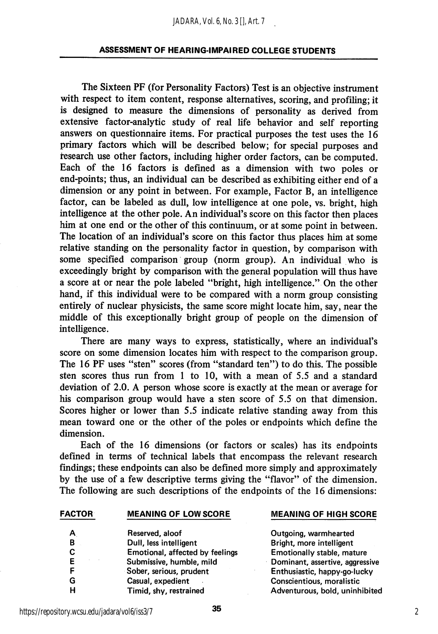#### *JADARA, Vol. 6, No. 3 [], Art. 7*

#### ASSESSMENT OF HEARING-IMPAIRED COLLEGE STUDENTS

The Sixteen PF (for Personality Factors) Test is an objective instrument with respect to item content, response alternatives, scoring, and profiling; it is designed to measure the dimensions of personality as derived from extensive factor-analytic study of real life behavior and self reporting answers on questionnaire items. For practical purposes the test uses the 16 primary factors which will be described below; for special purposes and tesearch use other factors, including higher order factors, can be computed. Each of the 16 factors is defined as a dimension with two poles or end-points; thus, an individual can be described as exhibiting either end of a dimension or any point in between. For example, Factor B, an intelligence factor, can be labeled as dull, low intelligence at one pole, vs. bright, high intelligence at the other pole. An individual's score on this factor then places him at one end or the other of this continuum, or at some point in between. The location of an individual's score on this factor thus places him at some relative standing on the personality factor in question, by comparison with some specified comparison group (norm group). An individual who is exceedingly bright by comparison with the general population wiU thus have a score at or near the pole labeled "bright, high intelhgence." On the other hand, if this individual were to be compared with a norm group consisting entirely of nuclear physicists, the same score might locate him, say, near the middle of this exceptionally bright group of people on the dimension of intelligence.

There are many ways to express, statistically, where an individual's score on some dimension locates him with respect to the comparison group. The 16 PF uses "sten" scores (from "standard ten") to do this. The possible sten scores thus run from 1 to 10, with a mean of 5.5 and a standard deviation of 2.0. A person whose score is exactly at the mean or average for his comparison group would have a sten score of 5.5 on that dimension. Scores higher or lower than 5.5 indicate relative standing away from this mean toward one or the other of the poles or endpoints which define the dimension.

Each of the 16 dimensions (or factors or scales) has its endpoints defined in terms of technical labels that encompass the relevant research findings; these endpoints can also be defined more simply and approximately by the use of a few descriptive terms giving the "flavor" of the dimension. The following are such descriptions of the endpoints of the 16 dimensions:

| A  | Reserved, aloof                 |
|----|---------------------------------|
| B  | Dull, less intelligent          |
| C  | Emotional, affected by feelings |
| E  | Submissive, humble, mild        |
| F  | Sober, serious, prudent         |
| G. | Casual, expedient               |
| н  | Timid, shy, restrained          |

#### FACTOR MEANING OF LOW SCORE MEANING OF HIGH SCORE

Outgoing, warmhearted Bright, more intelligent Emotionally stable, mature Dominant, assertive, aggressive Enthusiastic, happy-go-lucky Conscientious, moralistic Adventurous, bold, uninhibited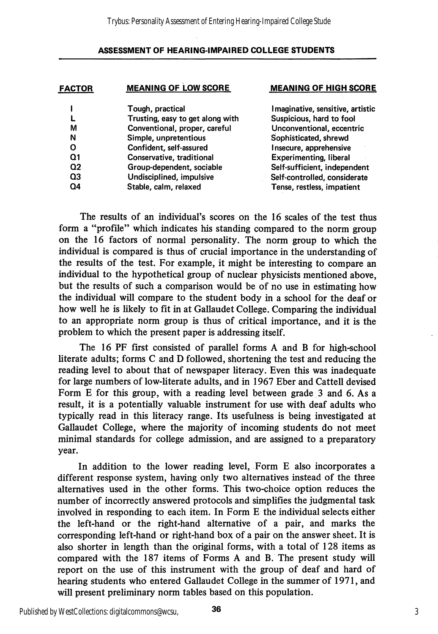| <b>FACTOR</b> | <b>MEANING OF LOW SCORE</b>      | <b>MEANING OF HIGH SCORE</b>     |  |  |  |  |
|---------------|----------------------------------|----------------------------------|--|--|--|--|
|               | Tough, practical                 | Imaginative, sensitive, artistic |  |  |  |  |
|               | Trusting, easy to get along with | Suspicious, hard to fool         |  |  |  |  |
| М             | Conventional, proper, careful    | Unconventional, eccentric        |  |  |  |  |
| N             | Simple, unpretentious            | Sophisticated, shrewd            |  |  |  |  |
| O             | Confident, self-assured          | Insecure, apprehensive           |  |  |  |  |
| Ω1            | Conservative, traditional        | <b>Experimenting, liberal</b>    |  |  |  |  |
| $\Omega$      | Group-dependent, sociable        | Self-sufficient, independent     |  |  |  |  |
| Q3            | Undisciplined, impulsive         | Self-controlled, considerate     |  |  |  |  |
| Q4            | Stable, calm, relaxed            | Tense, restless, impatient       |  |  |  |  |
|               |                                  |                                  |  |  |  |  |

The results of an individual's scores on the 16 scales of the test thus form a "profile" which indicates his standing compared to the norm group on the 16 factors of normal personality. The norm group to which the individual is compared is thus of crucial importance in the understanding of the results of the test. For example, it might be interesting to compare an individual to the hypothetical group of nuclear physicists mentioned above, but the results of such a comparison would be of no use in estimating how the individual will compare to the student body in a school for the deaf or how well he is likely to fit in at Gallaudet College. Comparing the individual to an appropriate norm group is thus of critical importance, and it is the problem to which the present paper is addressing itself.

The 16 PF first consisted of parallel forms A and B for high-school hterate adults; forms C and D followed, shortening the test and reducing the reading level to about that of newspaper literacy. Even this was inadequate for large numbers of low-literate adults, and in 1967 Eber and Cattell devised Form E for this group, with a reading level between grade 3 and 6. As a result, it is a potentially valuable instrument for use with deaf adults who typically read in this literacy range. Its usefulness is being investigated at Gallaudet College, where the majority of incoming students do not meet minimal standards for college admission, and are assigned to a preparatory year.

In addition to the lower reading level. Form E also incorporates a different response system, having only two alternatives instead of the three alternatives used in the other forms. This two-choice option reduces the number of incorrectly answered protocols and simplifies the judgmental task involved in responding to each item. In Form E the individual selects either the left-hand or the right-hand alternative of a pair, and marks the corresponding left-hand or right-hand box of a pair on the answer sheet. It is also shorter in length than the original forms, with a total of 128 items as compared with the 187 items of Forms A and B. The present study will report on the use of this instrument with the group of deaf and hard of hearing students who entered Gallaudet College in the summer of 1971, and will present preliminary norm tables based on this population.

Published by WestCollections: digitalcommons@wcsu,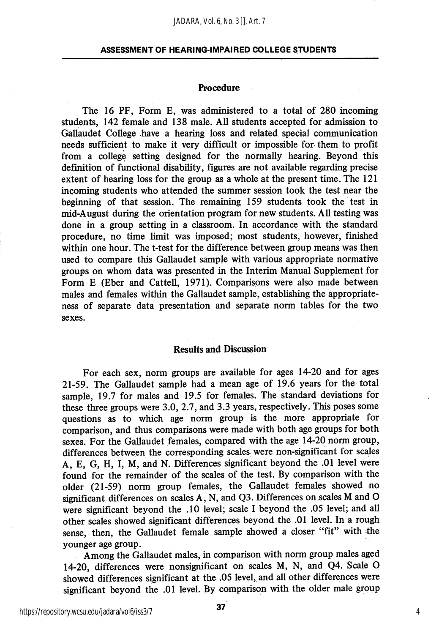#### Procedure

The 16 PF, Form E, was administered to a total of 280 incoming students, 142 female and 138 male. All students accepted for admission to Gallaudet College have a hearing loss and related special communication needs sufficient to make it very difficult or impossible for them to profit from a college setting designed for the normally hearing. Beyond this definition of functional disability, figures are not available regarding precise extent of hearing loss for the group as a whole at the present time. The 121 incoming students who attended the summer session took the test near the beginning of that session. The remaining 159 students took the test in mid-August during the orientation program for new students. All testing was done in a group setting in a classroom. In accordance with the standard procedure, no time limit was imposed; most students, however, finished within one hour. The t-test for the difference between group means was then used to compare this Gallaudet sample with various appropriate normative groups on whom data was presented in the Interim Manual Supplement for Form E (Eber and Cattell, 1971). Comparisons were also made between males and females within the Gallaudet sample, establishing the appropriate ness of separate data presentation and separate norm tables for the two sexes.

#### Results and Discussion

For each sex, norm groups are available for ages 14-20 and for ages 21-59. The Gallaudet sample had a mean age of 19.6 years for the total sample, 19.7 for males and 19.5 for females. The standard deviations for these three groups were 3.0, 2.7, and 3.3 years, respectively. This poses some questions as to which age norm group is the more appropriate for comparison, and thus comparisons were made with both age groups for both sexes. For the Gallaudet females, compared with the age 14-20 norm group, differences between the corresponding scales were non-significant for scales A, E, G, H, I, M, and N. Differences significant beyond the .01 level were found for the remainder of the scales of the test. By comparison with the older (21-59) norm group females, the Gallaudet females showed no significant differences on scales A, N, and Q3. Differences on scales M and O were significant beyond the .10 level; scale I beyond the .05 level; and all other scales showed significant differences beyond the .01 level. In a rough sense, then, the Gallaudet female sample showed a closer "fit" with the younger age group.

Among the Gallaudet males, in comparison with norm group males aged 14-20, differences were nonsignificant on scales M, N, and Q4. Scale O showed differences significant at the .05 level, and all other differences were significant beyond the .01 level. By comparison with the older male group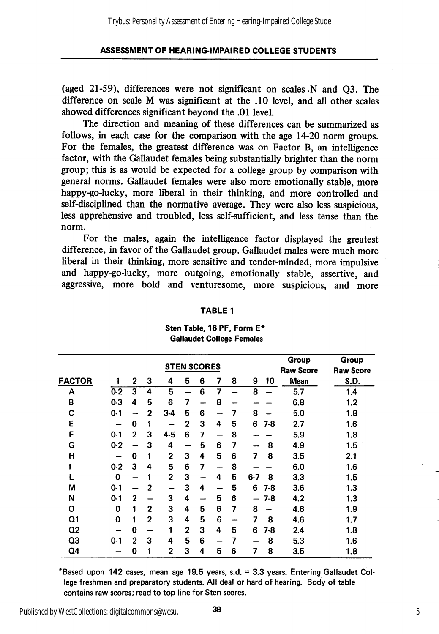(aged 21-59), differences were not significant on scales .N and Q3. The difference on scale M was significant at the .10 level, and all other scales showed differences significant beyond the .01 level.

The direction and meaning of these differences can be summarized as follows, in each case for the comparison with the age 14-20 norm groups. For the females, the greatest difference was on Factor B, an intelligence factor, with the Gallaudet females being substantially brighter than the norm group; this is as would be expected for a college group by comparison with general norms. Gallaudet females were also more emotionally stable, more happy-go-lucky, more liberal in their thinking, and more controlled and self-disciplined than the normative average. They were also less suspicious, less apprehensive and troubled, less self-sufficient, and less tense than the norm.

For the males, again the intelligence factor displayed the greatest difference, in favor of the Gallaudet group. Gallaudet males were much more liberal in their thinking, more sensitive and tender-minded, more impulsive and happy-go-lucky, more outgoing, emotionally stable, assertive, and aggressive, more bold and venturesome, more suspicious, and more

|                |                    |   |   |                | Group        | Group |    |    |              |                  |                  |
|----------------|--------------------|---|---|----------------|--------------|-------|----|----|--------------|------------------|------------------|
|                | <b>STEN SCORES</b> |   |   |                |              |       |    |    |              | <b>Raw Score</b> | <b>Raw Score</b> |
| <b>FACTOR</b>  |                    | 2 | 3 | 4              | 5            | 6     | 7  | 8  | 9<br>10      | <b>Mean</b>      | S.D.             |
| A              | $0-2$              | 3 | 4 | 5              |              | 6     | 7  |    | 8            | 5.7              | 1.4              |
| B              | $0-3$              | 4 | 5 | 6              | 7            |       | 8  |    |              | 6.8              | 1.2              |
| C              | $0 - 1$            | - | 2 | 3-4            | 5            | 6     | -- | 7  | 8            | 5.0              | 1.8              |
| Ε              | —                  | 0 | 1 |                | $\mathbf{2}$ | 3     | 4  | 5  | 6<br>7-8     | 2.7              | 1.6              |
| F              | $0 - 1$            | 2 | З | $4 - 5$        | 6            | 7     |    | 8  |              | 5.9              | 1.8              |
| G              | $0-2$              |   | 3 | 4              |              | 5     | 6  | 7  | 8            | 4.9              | 1.5              |
| Н              |                    | 0 | 1 | $\mathbf 2$    | 3            | 4     | 5  | 6  | 8<br>7       | 3.5              | 2.1              |
|                | $0-2$              | 3 | 4 | 5              | 6            | 7     | -  | 8  |              | 6.0              | 1.6              |
|                | 0                  | - | 1 | 2              | 3            | -     | 4  | 5  | $6 - 7$<br>8 | 3.3              | 1.5              |
| М              | $0 - 1$            |   | 2 | --             | 3            | 4     | -- | 5  | 6<br>$7-8$   | 3.6              | 1.3              |
| N              | $0-1$              | 2 |   | 3              | 4            |       | 5  | 6  | 7-8          | 4.2              | 1.3              |
| O              | 0                  | 1 | 2 | 3              | 4            | 5     | 6  | 7  | 8            | 4.6              | 1.9              |
| Q1             | 0                  | 1 | 2 | 3              | 4            | 5     | 6  | -- | 7<br>8       | 4.6              | 1.7              |
| Q <sub>2</sub> |                    | 0 |   | 1              | 2            | 3     | 4  | 5  | 6<br>7-8     | 2.4              | 1.8              |
| Q <sub>3</sub> | $0 - 1$            | 2 | 3 | 4              | 5            | 6     | -  | 7  | 8            | 5.3              | 1.6              |
| Q4             |                    | 0 | 1 | $\overline{2}$ | 3            | 4     | 5  | 6  | 7<br>8       | 3.5              | 1.8              |

#### TABLE 1

#### Sten Table, 16 PF, Form E\* Gallaudet College Females

'Based upon 142 cases, mean age 19.5 years, s.d. = 3.3 years. Entering Gallaudet Col lege freshmen and preparatory students. All deaf or hard of hearing. Body of table contains raw scores; read to top line for Sten scores.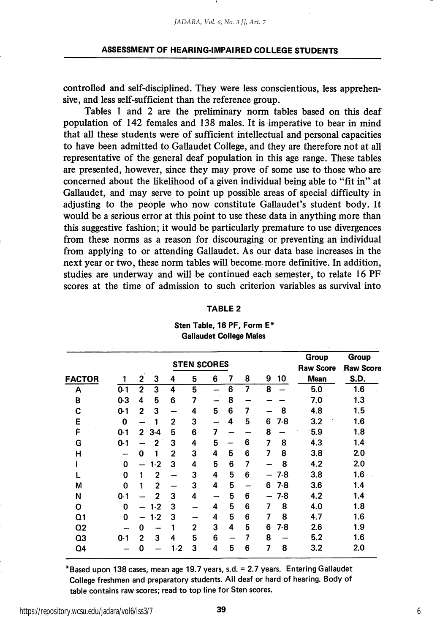controlled and self-disciplined. They were less conscientious, less apprehen sive, and less self-sufficient than the reference group.

Tables 1 and 2 are the preliminary norm tables based on this deaf population of 142 females and 138 males. It is imperative to bear in mind that all these students were of sufficient intellectual and personal capacities to have been admitted to Gallaudet College, and they are therefore not at all representative of the general deaf population in this age range. These tables are presented, however, since they may prove of some use to those who are concerned about the likehhood of a given individual being able to "fit in" at Gallaudet, and may serve to point up possible areas of special difficulty in adjusting to the people who now constitute Gallaudet's student body. It would be a serious error at this point to use these data in anything more than this suggestive fashion; it would be particularly premature to use divergences from these norms as a reason for discouraging or preventing an individual from applying to or attending Gallaudet. As our data base increases in the next year or two, these norm tables will become more definitive. In addition, studies are underway and will be continued each semester, to relate 16 PF scores at the time of admission to such criterion variables as survival into

#### TABLE 2

|                |         |                |                | <b>STEN SCORES</b> | Group<br><b>Raw Score</b> | <b>Group</b><br><b>Raw Score</b> |    |   |   |       |             |      |
|----------------|---------|----------------|----------------|--------------------|---------------------------|----------------------------------|----|---|---|-------|-------------|------|
| <b>FACTOR</b>  |         | 2              | 3              | 4                  | 5                         | 6                                | 7  | 8 | 9 | 10    | <b>Mean</b> | S.D. |
| Α              | $0-1$   | $\overline{2}$ | 3              | 4                  | 5                         |                                  | 6  | 7 | 8 |       | 5.0         | 1.6  |
| B              | $0-3$   | 4              | 5              | 6                  | 7                         |                                  | 8  |   |   |       | 7.0         | 1.3  |
| C              | $0-1$   | 2              | 3              |                    | 4                         | 5                                | 6  | 7 |   | 8     | 4.8         | 1.5  |
| Ε              | 0       |                |                | $\overline{2}$     | 3                         |                                  | 4  | 5 | 6 | 7-8   | 3.2         | 1.6  |
| È              | $0-1$   | $\overline{2}$ | $3-4$          | 5                  | 6                         | 7                                |    |   | 8 |       | 5.9         | 1.8  |
| G              | $0 - 1$ |                | $\overline{2}$ | 3                  | 4                         | 5                                |    | 6 | 7 | 8     | 4.3         | 1.4  |
| н              |         | 0              | 1              | $\overline{2}$     | 3                         | 4                                | 5  | 6 | 7 | 8     | 3.8         | 2.0  |
|                | 0       |                | $1-2$          | 3                  | 4                         | 5                                | 6  | 7 |   | 8     | 4.2         | 2.0  |
|                | 0       | 1              | $\overline{2}$ |                    | 3                         | 4                                | 5  | 6 |   | $7-8$ | 3.8         | 1.6  |
| М              | 0       | 1              | 2              |                    | 3                         | 4                                | 5  |   | 6 | 7-8   | 3.6         | 1.4  |
| N              | $0 - 1$ |                | $\overline{2}$ | 3                  | 4                         |                                  | 5  | 6 |   | 7-8   | 4.2         | 1.4  |
| O              | 0       |                | $1 - 2$        | 3                  |                           | 4                                | ۰5 | 6 | 7 | 8     | 4.0         | 1.8  |
| Q1             | 0       |                | $1-2$          | 3                  |                           | 4                                | 5  | 6 | 7 | 8     | 4.7         | 1.6  |
| Q <sub>2</sub> |         | 0              |                |                    | 2                         | 3                                | 4  | 5 | 6 | 7-8   | 2.6         | 1.9  |
| Q3             | $0 - 1$ | $\mathbf{2}$   | 3              | 4                  | 5                         | 6                                |    | 7 | 8 |       | 5.2         | 1.6  |
| Q4             |         | 0              |                | $1-2$              | 3                         | 4                                | 5  | 6 | 7 | 8     | 3.2         | 2.0  |
|                |         |                |                |                    |                           |                                  |    |   |   |       |             |      |

#### Sten Table, 16 PF, Form E\* Gallaudet College Males

"Based upon 138 cases, mean age 19.7 years, s.d. = 2.7 years. Entering Gallaudet College freshmen and preparatory students. All deaf or hard of hearing. Body of table contains raw scores; read to top line for Sten scores.